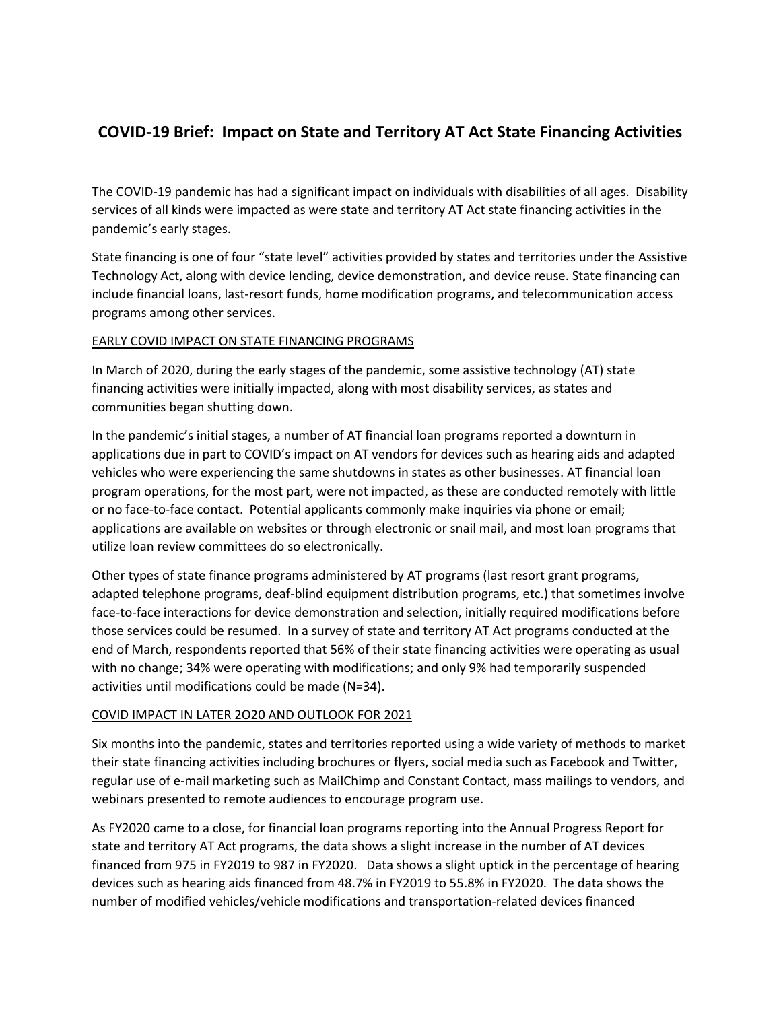## **COVID-19 Brief: Impact on State and Territory AT Act State Financing Activities**

The COVID-19 pandemic has had a significant impact on individuals with disabilities of all ages. Disability services of all kinds were impacted as were state and territory AT Act state financing activities in the pandemic's early stages.

State financing is one of four "state level" activities provided by states and territories under the Assistive Technology Act, along with device lending, device demonstration, and device reuse. State financing can include financial loans, last-resort funds, home modification programs, and telecommunication access programs among other services.

## EARLY COVID IMPACT ON STATE FINANCING PROGRAMS

In March of 2020, during the early stages of the pandemic, some assistive technology (AT) state financing activities were initially impacted, along with most disability services, as states and communities began shutting down.

In the pandemic's initial stages, a number of AT financial loan programs reported a downturn in applications due in part to COVID's impact on AT vendors for devices such as hearing aids and adapted vehicles who were experiencing the same shutdowns in states as other businesses. AT financial loan program operations, for the most part, were not impacted, as these are conducted remotely with little or no face-to-face contact. Potential applicants commonly make inquiries via phone or email; applications are available on websites or through electronic or snail mail, and most loan programs that utilize loan review committees do so electronically.

Other types of state finance programs administered by AT programs (last resort grant programs, adapted telephone programs, deaf-blind equipment distribution programs, etc.) that sometimes involve face-to-face interactions for device demonstration and selection, initially required modifications before those services could be resumed. In a survey of state and territory AT Act programs conducted at the end of March, respondents reported that 56% of their state financing activities were operating as usual with no change; 34% were operating with modifications; and only 9% had temporarily suspended activities until modifications could be made (N=34).

## COVID IMPACT IN LATER 2O20 AND OUTLOOK FOR 2021

Six months into the pandemic, states and territories reported using a wide variety of methods to market their state financing activities including brochures or flyers, social media such as Facebook and Twitter, regular use of e-mail marketing such as MailChimp and Constant Contact, mass mailings to vendors, and webinars presented to remote audiences to encourage program use.

As FY2020 came to a close, for financial loan programs reporting into the Annual Progress Report for state and territory AT Act programs, the data shows a slight increase in the number of AT devices financed from 975 in FY2019 to 987 in FY2020. Data shows a slight uptick in the percentage of hearing devices such as hearing aids financed from 48.7% in FY2019 to 55.8% in FY2020. The data shows the number of modified vehicles/vehicle modifications and transportation-related devices financed